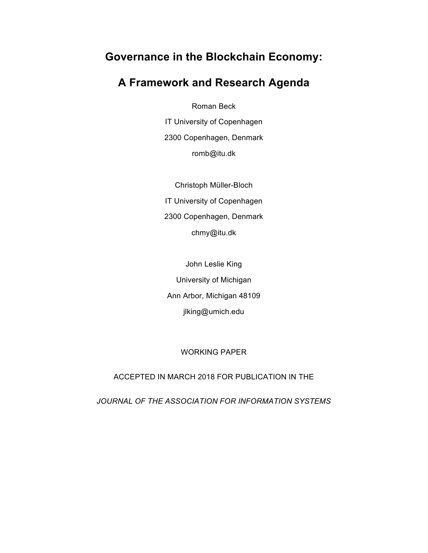# **Governance in the Blockchain Economy:**

# **A Framework and Research Agenda**

Roman Beck

IT University of Copenhagen 2300 Copenhagen, Denmark romb@itu.dk

Christoph Müller-Bloch IT University of Copenhagen 2300 Copenhagen, Denmark chmy@itu.dk

John Leslie King University of Michigan Ann Arbor, Michigan 48109 jlking@umich.edu

WORKING PAPER

ACCEPTED IN MARCH 2018 FOR PUBLICATION IN THE

*JOURNAL OF THE ASSOCIATION FOR INFORMATION SYSTEMS*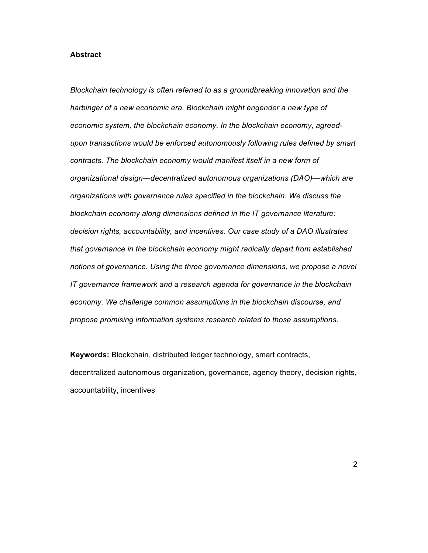#### **Abstract**

*Blockchain technology is often referred to as a groundbreaking innovation and the harbinger of a new economic era. Blockchain might engender a new type of economic system, the blockchain economy. In the blockchain economy, agreedupon transactions would be enforced autonomously following rules defined by smart contracts. The blockchain economy would manifest itself in a new form of organizational design—decentralized autonomous organizations (DAO)—which are organizations with governance rules specified in the blockchain. We discuss the blockchain economy along dimensions defined in the IT governance literature: decision rights, accountability, and incentives. Our case study of a DAO illustrates that governance in the blockchain economy might radically depart from established notions of governance. Using the three governance dimensions, we propose a novel IT governance framework and a research agenda for governance in the blockchain economy. We challenge common assumptions in the blockchain discourse, and propose promising information systems research related to those assumptions.*

**Keywords:** Blockchain, distributed ledger technology, smart contracts, decentralized autonomous organization, governance, agency theory, decision rights, accountability, incentives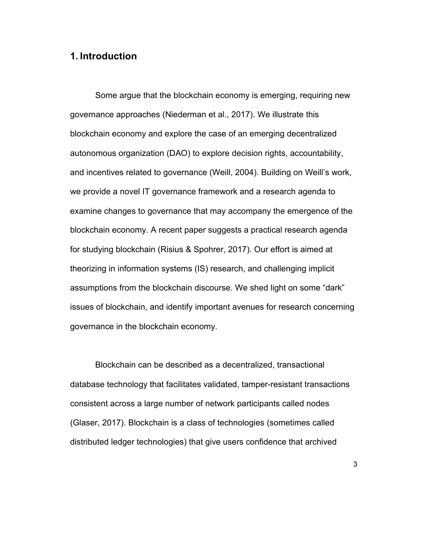## **1. Introduction**

Some argue that the blockchain economy is emerging, requiring new governance approaches (Niederman et al., 2017). We illustrate this blockchain economy and explore the case of an emerging decentralized autonomous organization (DAO) to explore decision rights, accountability, and incentives related to governance (Weill, 2004). Building on Weill's work, we provide a novel IT governance framework and a research agenda to examine changes to governance that may accompany the emergence of the blockchain economy. A recent paper suggests a practical research agenda for studying blockchain (Risius & Spohrer, 2017). Our effort is aimed at theorizing in information systems (IS) research, and challenging implicit assumptions from the blockchain discourse. We shed light on some "dark" issues of blockchain, and identify important avenues for research concerning governance in the blockchain economy.

Blockchain can be described as a decentralized, transactional database technology that facilitates validated, tamper-resistant transactions consistent across a large number of network participants called nodes (Glaser, 2017). Blockchain is a class of technologies (sometimes called distributed ledger technologies) that give users confidence that archived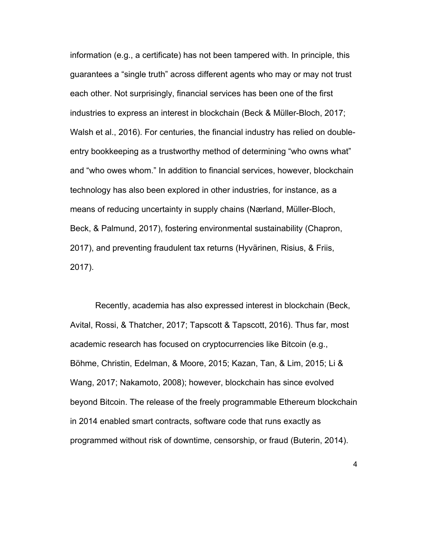information (e.g., a certificate) has not been tampered with. In principle, this guarantees a "single truth" across different agents who may or may not trust each other. Not surprisingly, financial services has been one of the first industries to express an interest in blockchain (Beck & Müller-Bloch, 2017; Walsh et al., 2016). For centuries, the financial industry has relied on doubleentry bookkeeping as a trustworthy method of determining "who owns what" and "who owes whom." In addition to financial services, however, blockchain technology has also been explored in other industries, for instance, as a means of reducing uncertainty in supply chains (Nærland, Müller-Bloch, Beck, & Palmund, 2017), fostering environmental sustainability (Chapron, 2017), and preventing fraudulent tax returns (Hyvärinen, Risius, & Friis, 2017).

Recently, academia has also expressed interest in blockchain (Beck, Avital, Rossi, & Thatcher, 2017; Tapscott & Tapscott, 2016). Thus far, most academic research has focused on cryptocurrencies like Bitcoin (e.g., Böhme, Christin, Edelman, & Moore, 2015; Kazan, Tan, & Lim, 2015; Li & Wang, 2017; Nakamoto, 2008); however, blockchain has since evolved beyond Bitcoin. The release of the freely programmable Ethereum blockchain in 2014 enabled smart contracts, software code that runs exactly as programmed without risk of downtime, censorship, or fraud (Buterin, 2014).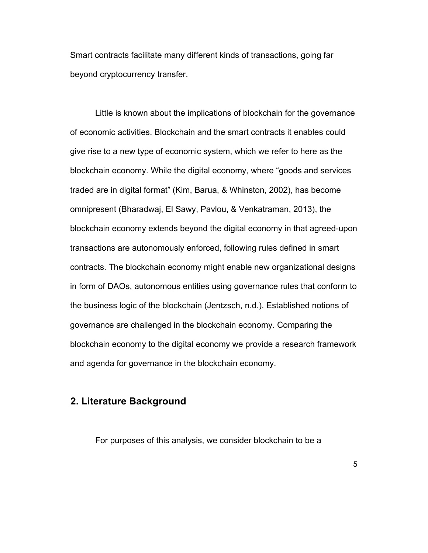Smart contracts facilitate many different kinds of transactions, going far beyond cryptocurrency transfer.

Little is known about the implications of blockchain for the governance of economic activities. Blockchain and the smart contracts it enables could give rise to a new type of economic system, which we refer to here as the blockchain economy. While the digital economy, where "goods and services traded are in digital format" (Kim, Barua, & Whinston, 2002), has become omnipresent (Bharadwaj, El Sawy, Pavlou, & Venkatraman, 2013), the blockchain economy extends beyond the digital economy in that agreed-upon transactions are autonomously enforced, following rules defined in smart contracts. The blockchain economy might enable new organizational designs in form of DAOs, autonomous entities using governance rules that conform to the business logic of the blockchain (Jentzsch, n.d.). Established notions of governance are challenged in the blockchain economy. Comparing the blockchain economy to the digital economy we provide a research framework and agenda for governance in the blockchain economy.

# **2. Literature Background**

For purposes of this analysis, we consider blockchain to be a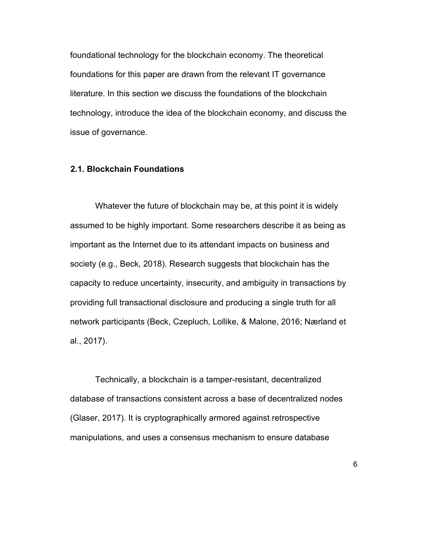foundational technology for the blockchain economy. The theoretical foundations for this paper are drawn from the relevant IT governance literature. In this section we discuss the foundations of the blockchain technology, introduce the idea of the blockchain economy, and discuss the issue of governance.

#### **2.1. Blockchain Foundations**

Whatever the future of blockchain may be, at this point it is widely assumed to be highly important. Some researchers describe it as being as important as the Internet due to its attendant impacts on business and society (e.g., Beck, 2018). Research suggests that blockchain has the capacity to reduce uncertainty, insecurity, and ambiguity in transactions by providing full transactional disclosure and producing a single truth for all network participants (Beck, Czepluch, Lollike, & Malone, 2016; Nærland et al., 2017).

Technically, a blockchain is a tamper-resistant, decentralized database of transactions consistent across a base of decentralized nodes (Glaser, 2017). It is cryptographically armored against retrospective manipulations, and uses a consensus mechanism to ensure database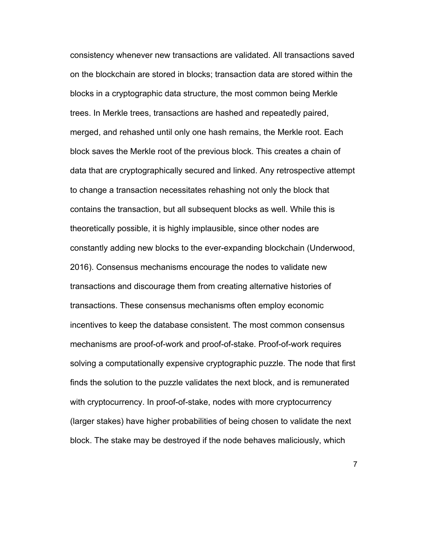consistency whenever new transactions are validated. All transactions saved on the blockchain are stored in blocks; transaction data are stored within the blocks in a cryptographic data structure, the most common being Merkle trees. In Merkle trees, transactions are hashed and repeatedly paired, merged, and rehashed until only one hash remains, the Merkle root. Each block saves the Merkle root of the previous block. This creates a chain of data that are cryptographically secured and linked. Any retrospective attempt to change a transaction necessitates rehashing not only the block that contains the transaction, but all subsequent blocks as well. While this is theoretically possible, it is highly implausible, since other nodes are constantly adding new blocks to the ever-expanding blockchain (Underwood, 2016). Consensus mechanisms encourage the nodes to validate new transactions and discourage them from creating alternative histories of transactions. These consensus mechanisms often employ economic incentives to keep the database consistent. The most common consensus mechanisms are proof-of-work and proof-of-stake. Proof-of-work requires solving a computationally expensive cryptographic puzzle. The node that first finds the solution to the puzzle validates the next block, and is remunerated with cryptocurrency. In proof-of-stake, nodes with more cryptocurrency (larger stakes) have higher probabilities of being chosen to validate the next block. The stake may be destroyed if the node behaves maliciously, which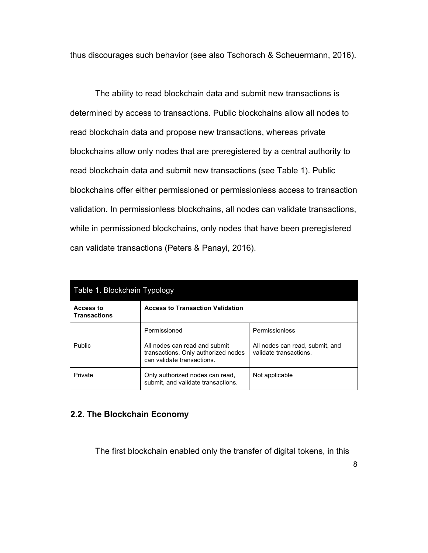thus discourages such behavior (see also Tschorsch & Scheuermann, 2016).

The ability to read blockchain data and submit new transactions is determined by access to transactions. Public blockchains allow all nodes to read blockchain data and propose new transactions, whereas private blockchains allow only nodes that are preregistered by a central authority to read blockchain data and submit new transactions (see Table 1). Public blockchains offer either permissioned or permissionless access to transaction validation. In permissionless blockchains, all nodes can validate transactions, while in permissioned blockchains, only nodes that have been preregistered can validate transactions (Peters & Panayi, 2016).

| Table 1. Blockchain Typology     |                                                                                                    |                                                           |  |  |  |
|----------------------------------|----------------------------------------------------------------------------------------------------|-----------------------------------------------------------|--|--|--|
| Access to<br><b>Transactions</b> | <b>Access to Transaction Validation</b>                                                            |                                                           |  |  |  |
|                                  | Permissioned                                                                                       | Permissionless                                            |  |  |  |
| <b>Public</b>                    | All nodes can read and submit<br>transactions. Only authorized nodes<br>can validate transactions. | All nodes can read, submit, and<br>validate transactions. |  |  |  |
| Private                          | Only authorized nodes can read,<br>submit, and validate transactions.                              | Not applicable                                            |  |  |  |

## **2.2. The Blockchain Economy**

The first blockchain enabled only the transfer of digital tokens, in this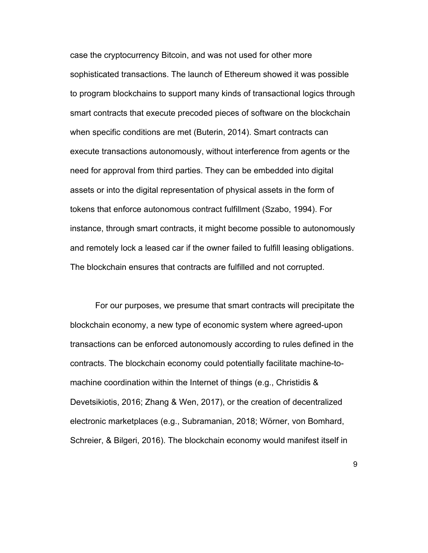case the cryptocurrency Bitcoin, and was not used for other more sophisticated transactions. The launch of Ethereum showed it was possible to program blockchains to support many kinds of transactional logics through smart contracts that execute precoded pieces of software on the blockchain when specific conditions are met (Buterin, 2014). Smart contracts can execute transactions autonomously, without interference from agents or the need for approval from third parties. They can be embedded into digital assets or into the digital representation of physical assets in the form of tokens that enforce autonomous contract fulfillment (Szabo, 1994). For instance, through smart contracts, it might become possible to autonomously and remotely lock a leased car if the owner failed to fulfill leasing obligations. The blockchain ensures that contracts are fulfilled and not corrupted.

For our purposes, we presume that smart contracts will precipitate the blockchain economy, a new type of economic system where agreed-upon transactions can be enforced autonomously according to rules defined in the contracts. The blockchain economy could potentially facilitate machine-tomachine coordination within the Internet of things (e.g., Christidis & Devetsikiotis, 2016; Zhang & Wen, 2017), or the creation of decentralized electronic marketplaces (e.g., Subramanian, 2018; Wörner, von Bomhard, Schreier, & Bilgeri, 2016). The blockchain economy would manifest itself in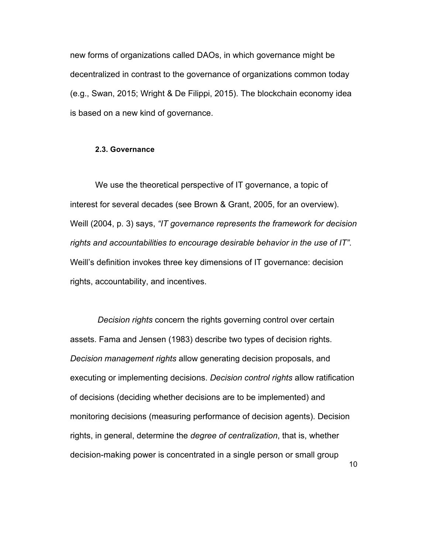new forms of organizations called DAOs, in which governance might be decentralized in contrast to the governance of organizations common today (e.g., Swan, 2015; Wright & De Filippi, 2015). The blockchain economy idea is based on a new kind of governance.

#### **2.3. Governance**

We use the theoretical perspective of IT governance, a topic of interest for several decades (see Brown & Grant, 2005, for an overview). Weill (2004, p. 3) says, *"IT governance represents the framework for decision rights and accountabilities to encourage desirable behavior in the use of IT"*. Weill's definition invokes three key dimensions of IT governance: decision rights, accountability, and incentives.

*Decision rights* concern the rights governing control over certain assets. Fama and Jensen (1983) describe two types of decision rights. *Decision management rights* allow generating decision proposals, and executing or implementing decisions. *Decision control rights* allow ratification of decisions (deciding whether decisions are to be implemented) and monitoring decisions (measuring performance of decision agents). Decision rights, in general, determine the *degree of centralization*, that is, whether decision-making power is concentrated in a single person or small group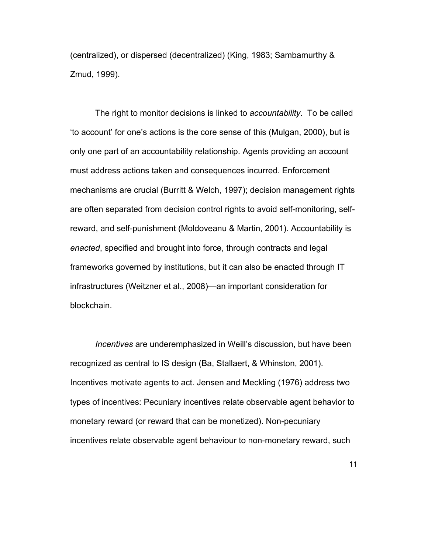(centralized), or dispersed (decentralized) (King, 1983; Sambamurthy & Zmud, 1999).

The right to monitor decisions is linked to *accountability*. To be called 'to account' for one's actions is the core sense of this (Mulgan, 2000), but is only one part of an accountability relationship. Agents providing an account must address actions taken and consequences incurred. Enforcement mechanisms are crucial (Burritt & Welch, 1997); decision management rights are often separated from decision control rights to avoid self-monitoring, selfreward, and self-punishment (Moldoveanu & Martin, 2001). Accountability is *enacted*, specified and brought into force, through contracts and legal frameworks governed by institutions, but it can also be enacted through IT infrastructures (Weitzner et al., 2008)—an important consideration for blockchain.

*Incentives* are underemphasized in Weill's discussion, but have been recognized as central to IS design (Ba, Stallaert, & Whinston, 2001). Incentives motivate agents to act. Jensen and Meckling (1976) address two types of incentives: Pecuniary incentives relate observable agent behavior to monetary reward (or reward that can be monetized). Non-pecuniary incentives relate observable agent behaviour to non-monetary reward, such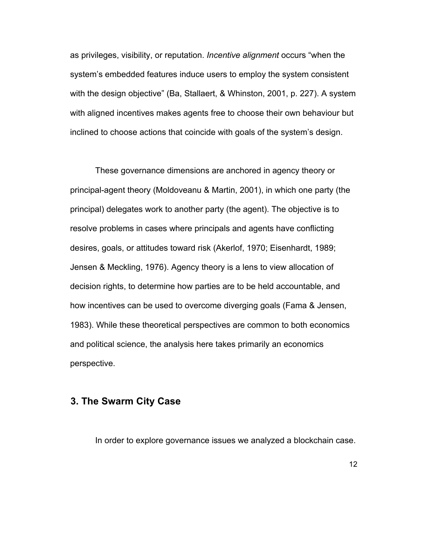as privileges, visibility, or reputation. *Incentive alignment* occurs "when the system's embedded features induce users to employ the system consistent with the design objective" (Ba, Stallaert, & Whinston, 2001, p. 227). A system with aligned incentives makes agents free to choose their own behaviour but inclined to choose actions that coincide with goals of the system's design.

These governance dimensions are anchored in agency theory or principal-agent theory (Moldoveanu & Martin, 2001), in which one party (the principal) delegates work to another party (the agent). The objective is to resolve problems in cases where principals and agents have conflicting desires, goals, or attitudes toward risk (Akerlof, 1970; Eisenhardt, 1989; Jensen & Meckling, 1976). Agency theory is a lens to view allocation of decision rights, to determine how parties are to be held accountable, and how incentives can be used to overcome diverging goals (Fama & Jensen, 1983). While these theoretical perspectives are common to both economics and political science, the analysis here takes primarily an economics perspective.

## **3. The Swarm City Case**

In order to explore governance issues we analyzed a blockchain case.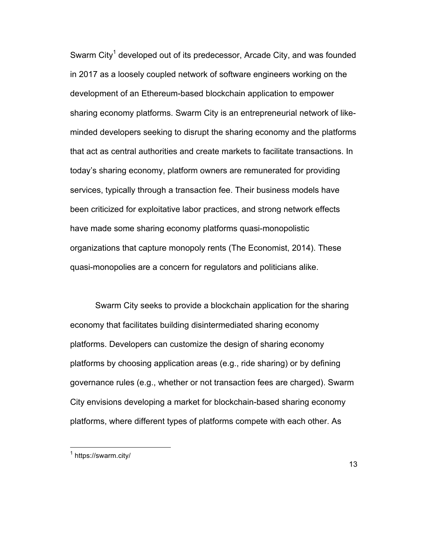Swarm City<sup>1</sup> developed out of its predecessor, Arcade City, and was founded in 2017 as a loosely coupled network of software engineers working on the development of an Ethereum-based blockchain application to empower sharing economy platforms. Swarm City is an entrepreneurial network of likeminded developers seeking to disrupt the sharing economy and the platforms that act as central authorities and create markets to facilitate transactions. In today's sharing economy, platform owners are remunerated for providing services, typically through a transaction fee. Their business models have been criticized for exploitative labor practices, and strong network effects have made some sharing economy platforms quasi-monopolistic organizations that capture monopoly rents (The Economist, 2014). These quasi-monopolies are a concern for regulators and politicians alike.

Swarm City seeks to provide a blockchain application for the sharing economy that facilitates building disintermediated sharing economy platforms. Developers can customize the design of sharing economy platforms by choosing application areas (e.g., ride sharing) or by defining governance rules (e.g., whether or not transaction fees are charged). Swarm City envisions developing a market for blockchain-based sharing economy platforms, where different types of platforms compete with each other. As

 $<sup>1</sup>$  https://swarm.city/</sup>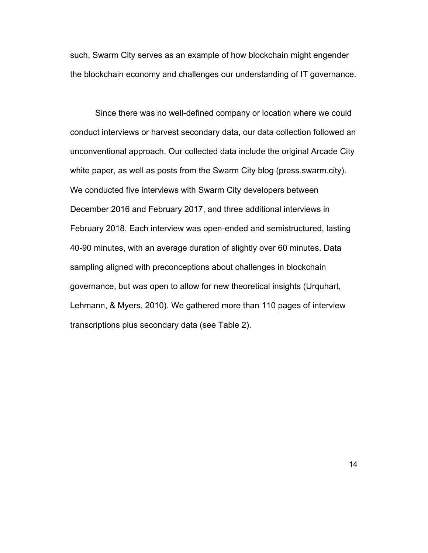such, Swarm City serves as an example of how blockchain might engender the blockchain economy and challenges our understanding of IT governance.

Since there was no well-defined company or location where we could conduct interviews or harvest secondary data, our data collection followed an unconventional approach. Our collected data include the original Arcade City white paper, as well as posts from the Swarm City blog (press.swarm.city). We conducted five interviews with Swarm City developers between December 2016 and February 2017, and three additional interviews in February 2018. Each interview was open-ended and semistructured, lasting 40-90 minutes, with an average duration of slightly over 60 minutes. Data sampling aligned with preconceptions about challenges in blockchain governance, but was open to allow for new theoretical insights (Urquhart, Lehmann, & Myers, 2010). We gathered more than 110 pages of interview transcriptions plus secondary data (see Table 2).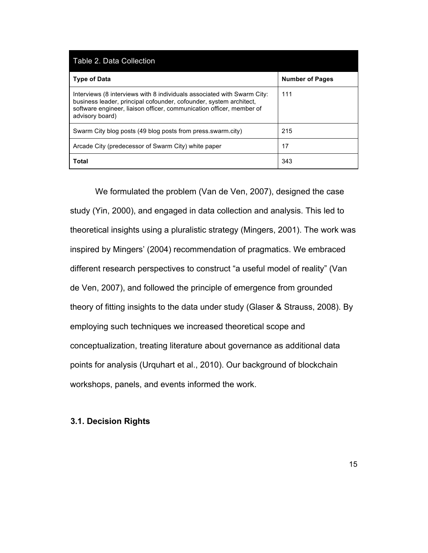| Table 2. Data Collection                                                                                                                                                                                                                 |                        |  |  |  |
|------------------------------------------------------------------------------------------------------------------------------------------------------------------------------------------------------------------------------------------|------------------------|--|--|--|
| <b>Type of Data</b>                                                                                                                                                                                                                      | <b>Number of Pages</b> |  |  |  |
| Interviews (8 interviews with 8 individuals associated with Swarm City:<br>business leader, principal cofounder, cofounder, system architect,<br>software engineer, liaison officer, communication officer, member of<br>advisory board) | 111                    |  |  |  |
| Swarm City blog posts (49 blog posts from press.swarm.city)                                                                                                                                                                              | 215                    |  |  |  |
| Arcade City (predecessor of Swarm City) white paper                                                                                                                                                                                      | 17                     |  |  |  |
| Total                                                                                                                                                                                                                                    | 343                    |  |  |  |

We formulated the problem (Van de Ven, 2007), designed the case study (Yin, 2000), and engaged in data collection and analysis. This led to theoretical insights using a pluralistic strategy (Mingers, 2001). The work was inspired by Mingers' (2004) recommendation of pragmatics. We embraced different research perspectives to construct "a useful model of reality" (Van de Ven, 2007), and followed the principle of emergence from grounded theory of fitting insights to the data under study (Glaser & Strauss, 2008). By employing such techniques we increased theoretical scope and conceptualization, treating literature about governance as additional data points for analysis (Urquhart et al., 2010). Our background of blockchain workshops, panels, and events informed the work.

### **3.1. Decision Rights**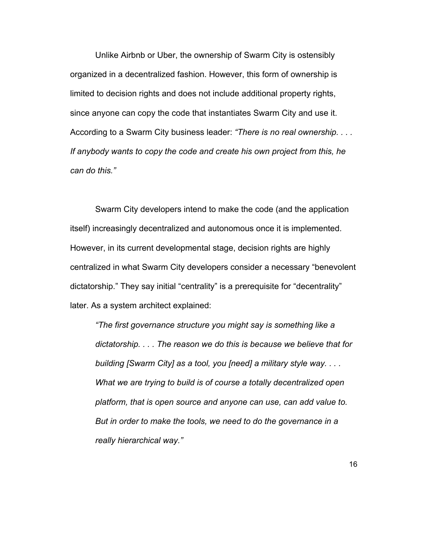Unlike Airbnb or Uber, the ownership of Swarm City is ostensibly organized in a decentralized fashion. However, this form of ownership is limited to decision rights and does not include additional property rights, since anyone can copy the code that instantiates Swarm City and use it. According to a Swarm City business leader: *"There is no real ownership. . . . If anybody wants to copy the code and create his own project from this, he can do this."*

Swarm City developers intend to make the code (and the application itself) increasingly decentralized and autonomous once it is implemented. However, in its current developmental stage, decision rights are highly centralized in what Swarm City developers consider a necessary "benevolent dictatorship." They say initial "centrality" is a prerequisite for "decentrality" later. As a system architect explained:

*"The first governance structure you might say is something like a dictatorship. . . . The reason we do this is because we believe that for building [Swarm City] as a tool, you [need] a military style way. . . . What we are trying to build is of course a totally decentralized open platform, that is open source and anyone can use, can add value to. But in order to make the tools, we need to do the governance in a really hierarchical way."*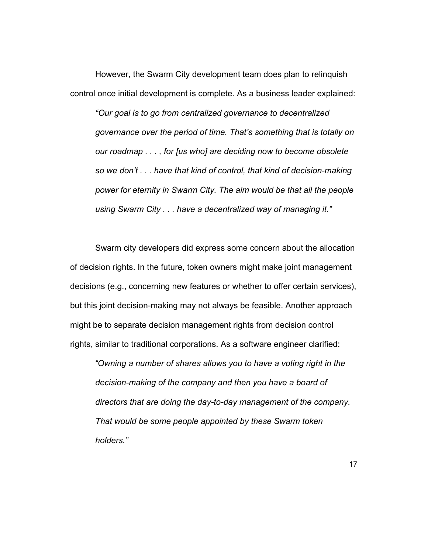However, the Swarm City development team does plan to relinquish control once initial development is complete. As a business leader explained:

*"Our goal is to go from centralized governance to decentralized governance over the period of time. That's something that is totally on our roadmap . . . , for [us who] are deciding now to become obsolete so we don't . . . have that kind of control, that kind of decision-making power for eternity in Swarm City. The aim would be that all the people using Swarm City . . . have a decentralized way of managing it."*

Swarm city developers did express some concern about the allocation of decision rights. In the future, token owners might make joint management decisions (e.g., concerning new features or whether to offer certain services), but this joint decision-making may not always be feasible. Another approach might be to separate decision management rights from decision control rights, similar to traditional corporations. As a software engineer clarified:

*"Owning a number of shares allows you to have a voting right in the decision-making of the company and then you have a board of directors that are doing the day-to-day management of the company. That would be some people appointed by these Swarm token holders."*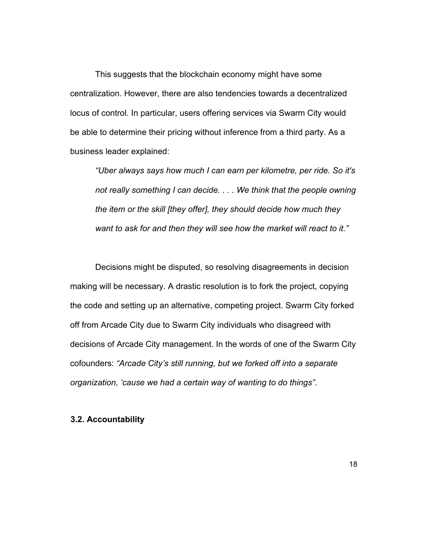This suggests that the blockchain economy might have some centralization. However, there are also tendencies towards a decentralized locus of control. In particular, users offering services via Swarm City would be able to determine their pricing without inference from a third party. As a business leader explained:

*"Uber always says how much I can earn per kilometre, per ride. So it's not really something I can decide. . . . We think that the people owning the item or the skill [they offer], they should decide how much they want to ask for and then they will see how the market will react to it."*

Decisions might be disputed, so resolving disagreements in decision making will be necessary. A drastic resolution is to fork the project, copying the code and setting up an alternative, competing project. Swarm City forked off from Arcade City due to Swarm City individuals who disagreed with decisions of Arcade City management. In the words of one of the Swarm City cofounders: *"Arcade City's still running, but we forked off into a separate organization, 'cause we had a certain way of wanting to do things".*

### **3.2. Accountability**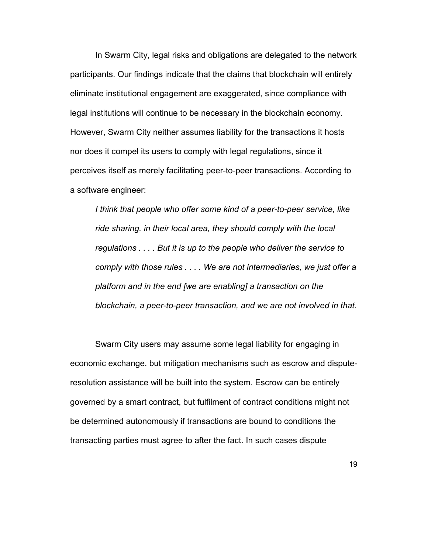In Swarm City, legal risks and obligations are delegated to the network participants. Our findings indicate that the claims that blockchain will entirely eliminate institutional engagement are exaggerated, since compliance with legal institutions will continue to be necessary in the blockchain economy. However, Swarm City neither assumes liability for the transactions it hosts nor does it compel its users to comply with legal regulations, since it perceives itself as merely facilitating peer-to-peer transactions. According to a software engineer:

*I think that people who offer some kind of a peer-to-peer service, like ride sharing, in their local area, they should comply with the local regulations . . . . But it is up to the people who deliver the service to comply with those rules . . . . We are not intermediaries, we just offer a platform and in the end [we are enabling] a transaction on the blockchain, a peer-to-peer transaction, and we are not involved in that.*

Swarm City users may assume some legal liability for engaging in economic exchange, but mitigation mechanisms such as escrow and disputeresolution assistance will be built into the system. Escrow can be entirely governed by a smart contract, but fulfilment of contract conditions might not be determined autonomously if transactions are bound to conditions the transacting parties must agree to after the fact. In such cases dispute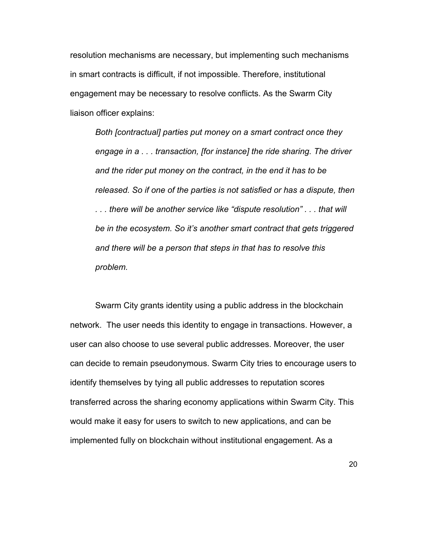resolution mechanisms are necessary, but implementing such mechanisms in smart contracts is difficult, if not impossible. Therefore, institutional engagement may be necessary to resolve conflicts. As the Swarm City liaison officer explains:

*Both [contractual] parties put money on a smart contract once they engage in a . . . transaction, [for instance] the ride sharing. The driver and the rider put money on the contract, in the end it has to be released. So if one of the parties is not satisfied or has a dispute, then . . . there will be another service like "dispute resolution" . . . that will be in the ecosystem. So it's another smart contract that gets triggered and there will be a person that steps in that has to resolve this problem.*

Swarm City grants identity using a public address in the blockchain network. The user needs this identity to engage in transactions. However, a user can also choose to use several public addresses. Moreover, the user can decide to remain pseudonymous. Swarm City tries to encourage users to identify themselves by tying all public addresses to reputation scores transferred across the sharing economy applications within Swarm City. This would make it easy for users to switch to new applications, and can be implemented fully on blockchain without institutional engagement. As a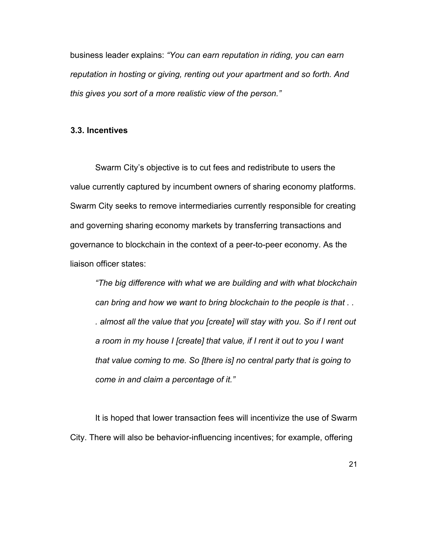business leader explains: *"You can earn reputation in riding, you can earn reputation in hosting or giving, renting out your apartment and so forth. And this gives you sort of a more realistic view of the person."*

#### **3.3. Incentives**

Swarm City's objective is to cut fees and redistribute to users the value currently captured by incumbent owners of sharing economy platforms. Swarm City seeks to remove intermediaries currently responsible for creating and governing sharing economy markets by transferring transactions and governance to blockchain in the context of a peer-to-peer economy. As the liaison officer states:

*"The big difference with what we are building and with what blockchain can bring and how we want to bring blockchain to the people is that . . . almost all the value that you [create] will stay with you. So if I rent out a room in my house I [create] that value, if I rent it out to you I want that value coming to me. So [there is] no central party that is going to come in and claim a percentage of it."*

It is hoped that lower transaction fees will incentivize the use of Swarm City. There will also be behavior-influencing incentives; for example, offering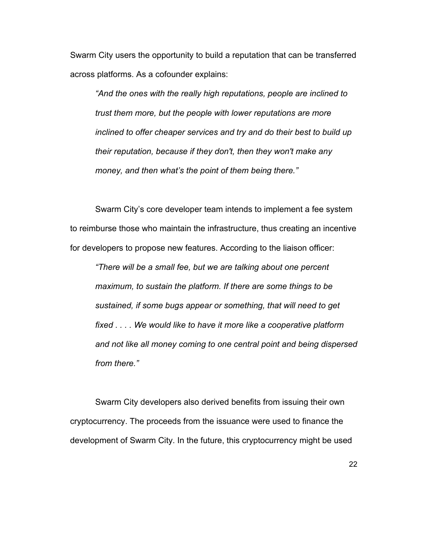Swarm City users the opportunity to build a reputation that can be transferred across platforms. As a cofounder explains:

*"And the ones with the really high reputations, people are inclined to trust them more, but the people with lower reputations are more inclined to offer cheaper services and try and do their best to build up their reputation, because if they don't, then they won't make any money, and then what's the point of them being there."*

Swarm City's core developer team intends to implement a fee system to reimburse those who maintain the infrastructure, thus creating an incentive for developers to propose new features. According to the liaison officer:

*"There will be a small fee, but we are talking about one percent maximum, to sustain the platform. If there are some things to be sustained, if some bugs appear or something, that will need to get fixed . . . . We would like to have it more like a cooperative platform and not like all money coming to one central point and being dispersed from there."*

Swarm City developers also derived benefits from issuing their own cryptocurrency. The proceeds from the issuance were used to finance the development of Swarm City. In the future, this cryptocurrency might be used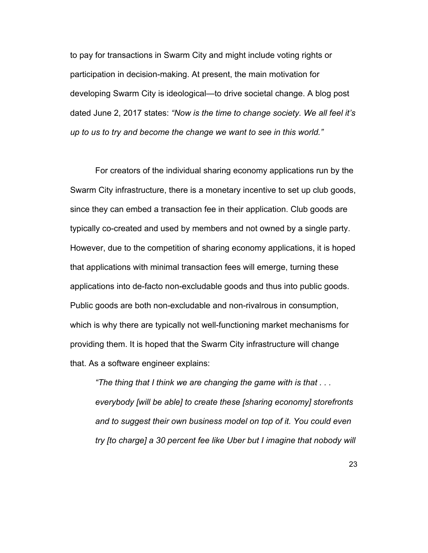to pay for transactions in Swarm City and might include voting rights or participation in decision-making. At present, the main motivation for developing Swarm City is ideological—to drive societal change. A blog post dated June 2, 2017 states: *"Now is the time to change society. We all feel it's up to us to try and become the change we want to see in this world."*

For creators of the individual sharing economy applications run by the Swarm City infrastructure, there is a monetary incentive to set up club goods, since they can embed a transaction fee in their application. Club goods are typically co-created and used by members and not owned by a single party. However, due to the competition of sharing economy applications, it is hoped that applications with minimal transaction fees will emerge, turning these applications into de-facto non-excludable goods and thus into public goods. Public goods are both non-excludable and non-rivalrous in consumption, which is why there are typically not well-functioning market mechanisms for providing them. It is hoped that the Swarm City infrastructure will change that. As a software engineer explains:

*"The thing that I think we are changing the game with is that . . . everybody [will be able] to create these [sharing economy] storefronts and to suggest their own business model on top of it. You could even try [to charge] a 30 percent fee like Uber but I imagine that nobody will*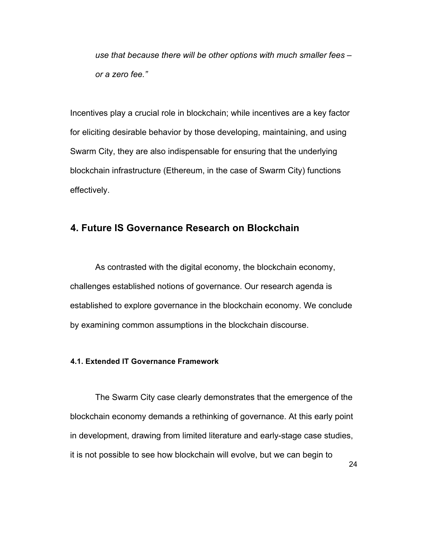*use that because there will be other options with much smaller fees – or a zero fee."*

Incentives play a crucial role in blockchain; while incentives are a key factor for eliciting desirable behavior by those developing, maintaining, and using Swarm City, they are also indispensable for ensuring that the underlying blockchain infrastructure (Ethereum, in the case of Swarm City) functions effectively.

# **4. Future IS Governance Research on Blockchain**

As contrasted with the digital economy, the blockchain economy, challenges established notions of governance. Our research agenda is established to explore governance in the blockchain economy. We conclude by examining common assumptions in the blockchain discourse.

### **4.1. Extended IT Governance Framework**

The Swarm City case clearly demonstrates that the emergence of the blockchain economy demands a rethinking of governance. At this early point in development, drawing from limited literature and early-stage case studies, it is not possible to see how blockchain will evolve, but we can begin to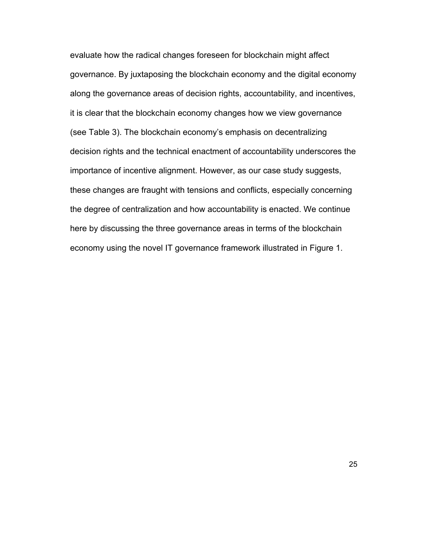evaluate how the radical changes foreseen for blockchain might affect governance. By juxtaposing the blockchain economy and the digital economy along the governance areas of decision rights, accountability, and incentives, it is clear that the blockchain economy changes how we view governance (see Table 3). The blockchain economy's emphasis on decentralizing decision rights and the technical enactment of accountability underscores the importance of incentive alignment. However, as our case study suggests, these changes are fraught with tensions and conflicts, especially concerning the degree of centralization and how accountability is enacted. We continue here by discussing the three governance areas in terms of the blockchain economy using the novel IT governance framework illustrated in Figure 1.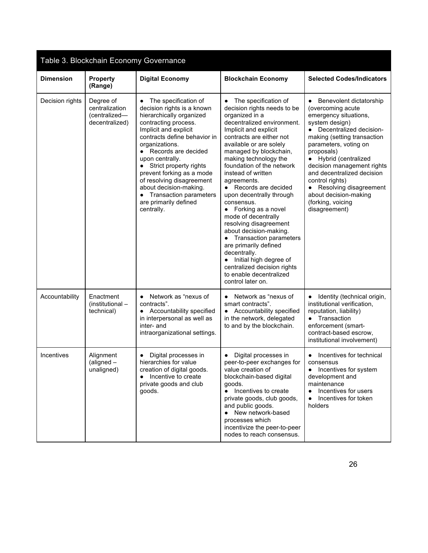| Table 3. Blockchain Economy Governance |                                                                |                                                                                                                                                                                                                                                                                                                                                                                                                    |                                                                                                                                                                                                                                                                                                                                                                                                                                                                                                                                                                                                                                                                                                   |                                                                                                                                                                                                                                                                                                                                                                                                        |
|----------------------------------------|----------------------------------------------------------------|--------------------------------------------------------------------------------------------------------------------------------------------------------------------------------------------------------------------------------------------------------------------------------------------------------------------------------------------------------------------------------------------------------------------|---------------------------------------------------------------------------------------------------------------------------------------------------------------------------------------------------------------------------------------------------------------------------------------------------------------------------------------------------------------------------------------------------------------------------------------------------------------------------------------------------------------------------------------------------------------------------------------------------------------------------------------------------------------------------------------------------|--------------------------------------------------------------------------------------------------------------------------------------------------------------------------------------------------------------------------------------------------------------------------------------------------------------------------------------------------------------------------------------------------------|
| <b>Dimension</b>                       | <b>Property</b><br>(Range)                                     | <b>Digital Economy</b>                                                                                                                                                                                                                                                                                                                                                                                             | <b>Blockchain Economy</b>                                                                                                                                                                                                                                                                                                                                                                                                                                                                                                                                                                                                                                                                         | <b>Selected Codes/Indicators</b>                                                                                                                                                                                                                                                                                                                                                                       |
| Decision rights                        | Degree of<br>centralization<br>(centralized-<br>decentralized) | • The specification of<br>decision rights is a known<br>hierarchically organized<br>contracting process.<br>Implicit and explicit<br>contracts define behavior in<br>organizations.<br>• Records are decided<br>upon centrally.<br>• Strict property rights<br>prevent forking as a mode<br>of resolving disagreement<br>about decision-making.<br>• Transaction parameters<br>are primarily defined<br>centrally. | The specification of<br>$\bullet$<br>decision rights needs to be<br>organized in a<br>decentralized environment.<br>Implicit and explicit<br>contracts are either not<br>available or are solely<br>managed by blockchain,<br>making technology the<br>foundation of the network<br>instead of written<br>agreements.<br>• Records are decided<br>upon decentrally through<br>consensus.<br>Forking as a novel<br>$\bullet$<br>mode of decentrally<br>resolving disagreement<br>about decision-making.<br>• Transaction parameters<br>are primarily defined<br>decentrally.<br>Initial high degree of<br>$\bullet$<br>centralized decision rights<br>to enable decentralized<br>control later on. | Benevolent dictatorship<br>$\bullet$<br>(overcoming acute<br>emergency situations,<br>system design)<br>Decentralized decision-<br>making (setting transaction<br>parameters, voting on<br>proposals)<br>• Hybrid (centralized<br>decision management rights<br>and decentralized decision<br>control rights)<br>Resolving disagreement<br>about decision-making<br>(forking, voicing<br>disagreement) |
| Accountability                         | Enactment<br>(institutional -<br>technical)                    | Network as "nexus of<br>$\bullet$<br>contracts".<br>Accountability specified<br>$\bullet$<br>in interpersonal as well as<br>inter- and<br>intraorganizational settings.                                                                                                                                                                                                                                            | Network as "nexus of<br>smart contracts".<br>Accountability specified<br>$\bullet$<br>in the network, delegated<br>to and by the blockchain.                                                                                                                                                                                                                                                                                                                                                                                                                                                                                                                                                      | Identity (technical origin,<br>institutional verification,<br>reputation, liability)<br>• Transaction<br>enforcement (smart-<br>contract-based escrow,<br>institutional involvement)                                                                                                                                                                                                                   |
| Incentives                             | Alignment<br>$(aligned -$<br>unaligned)                        | Digital processes in<br>hierarchies for value<br>creation of digital goods.<br>• Incentive to create<br>private goods and club<br>goods.                                                                                                                                                                                                                                                                           | Digital processes in<br>peer-to-peer exchanges for<br>value creation of<br>blockchain-based digital<br>goods.<br>• Incentives to create<br>private goods, club goods,<br>and public goods.<br>• New network-based<br>processes which<br>incentivize the peer-to-peer<br>nodes to reach consensus.                                                                                                                                                                                                                                                                                                                                                                                                 | Incentives for technical<br>consensus<br>Incentives for system<br>$\bullet$<br>development and<br>maintenance<br>Incentives for users<br>$\bullet$<br>Incentives for token<br>$\bullet$<br>holders                                                                                                                                                                                                     |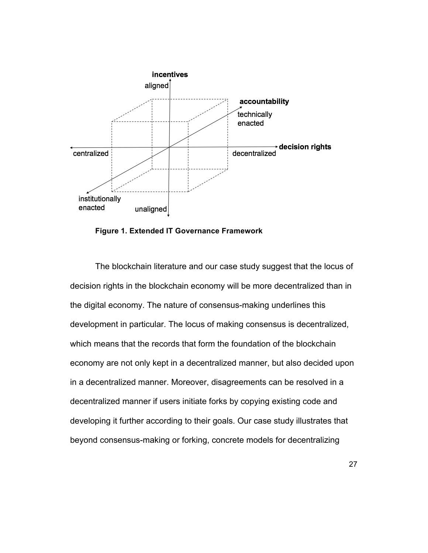

**Figure 1. Extended IT Governance Framework** 

The blockchain literature and our case study suggest that the locus of decision rights in the blockchain economy will be more decentralized than in the digital economy. The nature of consensus-making underlines this development in particular. The locus of making consensus is decentralized, which means that the records that form the foundation of the blockchain economy are not only kept in a decentralized manner, but also decided upon in a decentralized manner. Moreover, disagreements can be resolved in a decentralized manner if users initiate forks by copying existing code and developing it further according to their goals. Our case study illustrates that beyond consensus-making or forking, concrete models for decentralizing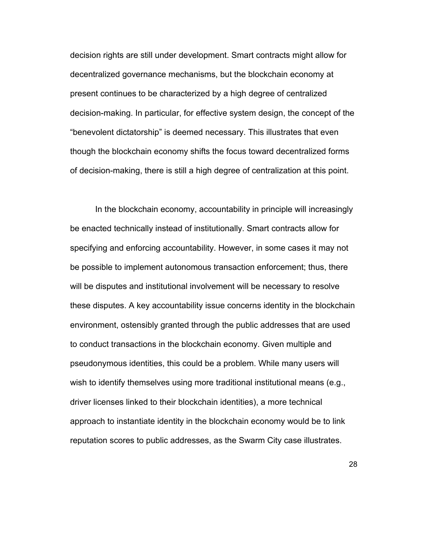decision rights are still under development. Smart contracts might allow for decentralized governance mechanisms, but the blockchain economy at present continues to be characterized by a high degree of centralized decision-making. In particular, for effective system design, the concept of the "benevolent dictatorship" is deemed necessary. This illustrates that even though the blockchain economy shifts the focus toward decentralized forms of decision-making, there is still a high degree of centralization at this point.

In the blockchain economy, accountability in principle will increasingly be enacted technically instead of institutionally. Smart contracts allow for specifying and enforcing accountability. However, in some cases it may not be possible to implement autonomous transaction enforcement; thus, there will be disputes and institutional involvement will be necessary to resolve these disputes. A key accountability issue concerns identity in the blockchain environment, ostensibly granted through the public addresses that are used to conduct transactions in the blockchain economy. Given multiple and pseudonymous identities, this could be a problem. While many users will wish to identify themselves using more traditional institutional means (e.g., driver licenses linked to their blockchain identities), a more technical approach to instantiate identity in the blockchain economy would be to link reputation scores to public addresses, as the Swarm City case illustrates.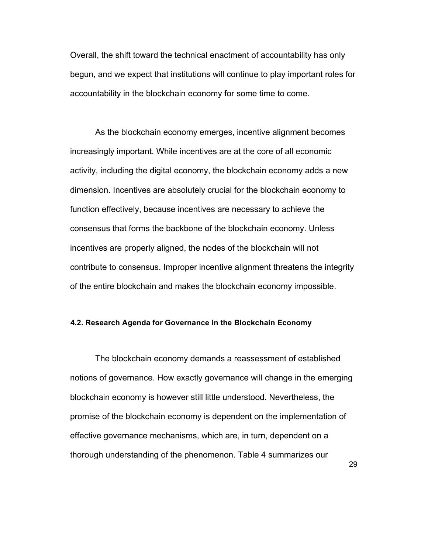Overall, the shift toward the technical enactment of accountability has only begun, and we expect that institutions will continue to play important roles for accountability in the blockchain economy for some time to come.

As the blockchain economy emerges, incentive alignment becomes increasingly important. While incentives are at the core of all economic activity, including the digital economy, the blockchain economy adds a new dimension. Incentives are absolutely crucial for the blockchain economy to function effectively, because incentives are necessary to achieve the consensus that forms the backbone of the blockchain economy. Unless incentives are properly aligned, the nodes of the blockchain will not contribute to consensus. Improper incentive alignment threatens the integrity of the entire blockchain and makes the blockchain economy impossible.

#### **4.2. Research Agenda for Governance in the Blockchain Economy**

The blockchain economy demands a reassessment of established notions of governance. How exactly governance will change in the emerging blockchain economy is however still little understood. Nevertheless, the promise of the blockchain economy is dependent on the implementation of effective governance mechanisms, which are, in turn, dependent on a thorough understanding of the phenomenon. Table 4 summarizes our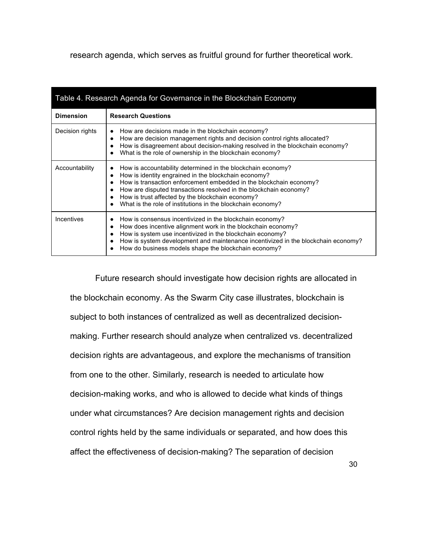research agenda, which serves as fruitful ground for further theoretical work.

| Table 4. Research Agenda for Governance in the Blockchain Economy |                                                                                                                                                                                                                                                                                                                                                                                   |  |  |  |
|-------------------------------------------------------------------|-----------------------------------------------------------------------------------------------------------------------------------------------------------------------------------------------------------------------------------------------------------------------------------------------------------------------------------------------------------------------------------|--|--|--|
| <b>Dimension</b>                                                  | <b>Research Questions</b>                                                                                                                                                                                                                                                                                                                                                         |  |  |  |
| Decision rights                                                   | How are decisions made in the blockchain economy?<br>How are decision management rights and decision control rights allocated?<br>How is disagreement about decision-making resolved in the blockchain economy?<br>What is the role of ownership in the blockchain economy?                                                                                                       |  |  |  |
| Accountability                                                    | How is accountability determined in the blockchain economy?<br>How is identity engrained in the blockchain economy?<br>How is transaction enforcement embedded in the blockchain economy?<br>How are disputed transactions resolved in the blockchain economy?<br>How is trust affected by the blockchain economy?<br>What is the role of institutions in the blockchain economy? |  |  |  |
| Incentives                                                        | How is consensus incentivized in the blockchain economy?<br>How does incentive alignment work in the blockchain economy?<br>How is system use incentivized in the blockchain economy?<br>How is system development and maintenance incentivized in the blockchain economy?<br>How do business models shape the blockchain economy?                                                |  |  |  |

Future research should investigate how decision rights are allocated in the blockchain economy. As the Swarm City case illustrates, blockchain is subject to both instances of centralized as well as decentralized decisionmaking. Further research should analyze when centralized vs. decentralized decision rights are advantageous, and explore the mechanisms of transition from one to the other. Similarly, research is needed to articulate how decision-making works, and who is allowed to decide what kinds of things under what circumstances? Are decision management rights and decision control rights held by the same individuals or separated, and how does this affect the effectiveness of decision-making? The separation of decision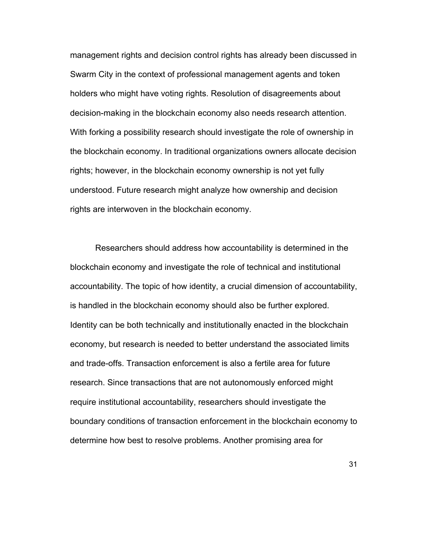management rights and decision control rights has already been discussed in Swarm City in the context of professional management agents and token holders who might have voting rights. Resolution of disagreements about decision-making in the blockchain economy also needs research attention. With forking a possibility research should investigate the role of ownership in the blockchain economy. In traditional organizations owners allocate decision rights; however, in the blockchain economy ownership is not yet fully understood. Future research might analyze how ownership and decision rights are interwoven in the blockchain economy.

Researchers should address how accountability is determined in the blockchain economy and investigate the role of technical and institutional accountability. The topic of how identity, a crucial dimension of accountability, is handled in the blockchain economy should also be further explored. Identity can be both technically and institutionally enacted in the blockchain economy, but research is needed to better understand the associated limits and trade-offs. Transaction enforcement is also a fertile area for future research. Since transactions that are not autonomously enforced might require institutional accountability, researchers should investigate the boundary conditions of transaction enforcement in the blockchain economy to determine how best to resolve problems. Another promising area for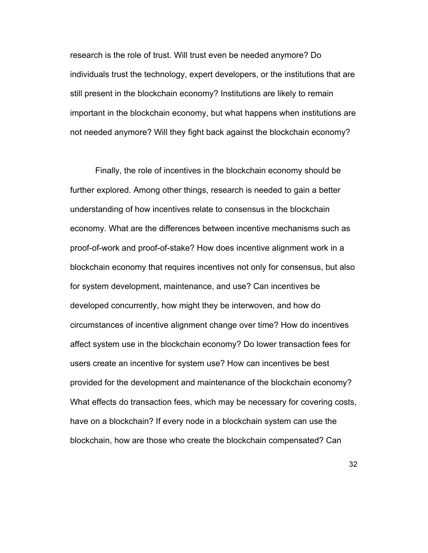research is the role of trust. Will trust even be needed anymore? Do individuals trust the technology, expert developers, or the institutions that are still present in the blockchain economy? Institutions are likely to remain important in the blockchain economy, but what happens when institutions are not needed anymore? Will they fight back against the blockchain economy?

Finally, the role of incentives in the blockchain economy should be further explored. Among other things, research is needed to gain a better understanding of how incentives relate to consensus in the blockchain economy. What are the differences between incentive mechanisms such as proof-of-work and proof-of-stake? How does incentive alignment work in a blockchain economy that requires incentives not only for consensus, but also for system development, maintenance, and use? Can incentives be developed concurrently, how might they be interwoven, and how do circumstances of incentive alignment change over time? How do incentives affect system use in the blockchain economy? Do lower transaction fees for users create an incentive for system use? How can incentives be best provided for the development and maintenance of the blockchain economy? What effects do transaction fees, which may be necessary for covering costs, have on a blockchain? If every node in a blockchain system can use the blockchain, how are those who create the blockchain compensated? Can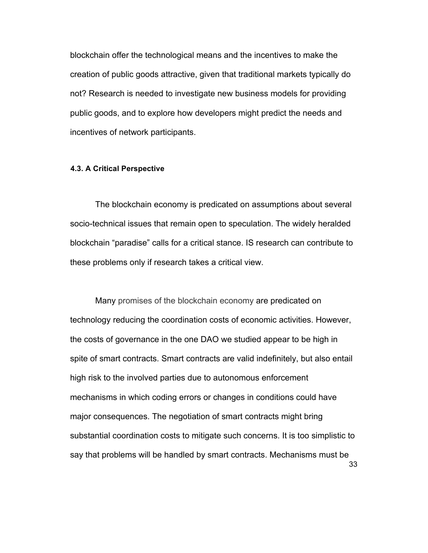blockchain offer the technological means and the incentives to make the creation of public goods attractive, given that traditional markets typically do not? Research is needed to investigate new business models for providing public goods, and to explore how developers might predict the needs and incentives of network participants.

#### **4.3. A Critical Perspective**

The blockchain economy is predicated on assumptions about several socio-technical issues that remain open to speculation. The widely heralded blockchain "paradise" calls for a critical stance. IS research can contribute to these problems only if research takes a critical view.

33 Many promises of the blockchain economy are predicated on technology reducing the coordination costs of economic activities. However, the costs of governance in the one DAO we studied appear to be high in spite of smart contracts. Smart contracts are valid indefinitely, but also entail high risk to the involved parties due to autonomous enforcement mechanisms in which coding errors or changes in conditions could have major consequences. The negotiation of smart contracts might bring substantial coordination costs to mitigate such concerns. It is too simplistic to say that problems will be handled by smart contracts. Mechanisms must be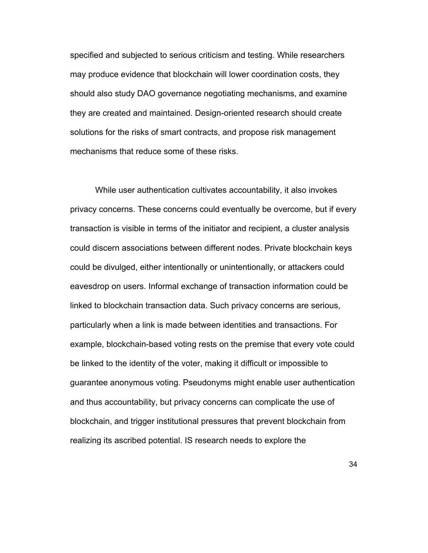specified and subjected to serious criticism and testing. While researchers may produce evidence that blockchain will lower coordination costs, they should also study DAO governance negotiating mechanisms, and examine they are created and maintained. Design-oriented research should create solutions for the risks of smart contracts, and propose risk management mechanisms that reduce some of these risks.

While user authentication cultivates accountability, it also invokes privacy concerns. These concerns could eventually be overcome, but if every transaction is visible in terms of the initiator and recipient, a cluster analysis could discern associations between different nodes. Private blockchain keys could be divulged, either intentionally or unintentionally, or attackers could eavesdrop on users. Informal exchange of transaction information could be linked to blockchain transaction data. Such privacy concerns are serious, particularly when a link is made between identities and transactions. For example, blockchain-based voting rests on the premise that every vote could be linked to the identity of the voter, making it difficult or impossible to guarantee anonymous voting. Pseudonyms might enable user authentication and thus accountability, but privacy concerns can complicate the use of blockchain, and trigger institutional pressures that prevent blockchain from realizing its ascribed potential. IS research needs to explore the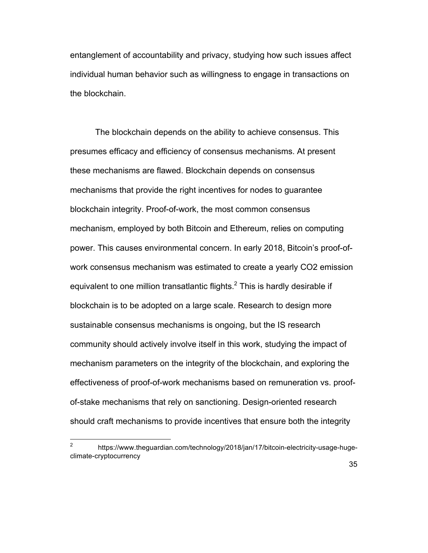entanglement of accountability and privacy, studying how such issues affect individual human behavior such as willingness to engage in transactions on the blockchain.

The blockchain depends on the ability to achieve consensus. This presumes efficacy and efficiency of consensus mechanisms. At present these mechanisms are flawed. Blockchain depends on consensus mechanisms that provide the right incentives for nodes to guarantee blockchain integrity. Proof-of-work, the most common consensus mechanism, employed by both Bitcoin and Ethereum, relies on computing power. This causes environmental concern. In early 2018, Bitcoin's proof-ofwork consensus mechanism was estimated to create a yearly CO2 emission equivalent to one million transatlantic flights. $^2$  This is hardly desirable if blockchain is to be adopted on a large scale. Research to design more sustainable consensus mechanisms is ongoing, but the IS research community should actively involve itself in this work, studying the impact of mechanism parameters on the integrity of the blockchain, and exploring the effectiveness of proof-of-work mechanisms based on remuneration vs. proofof-stake mechanisms that rely on sanctioning. Design-oriented research should craft mechanisms to provide incentives that ensure both the integrity

<sup>&</sup>lt;sup>2</sup> https://www.theguardian.com/technology/2018/jan/17/bitcoin-electricity-usage-hugeclimate-cryptocurrency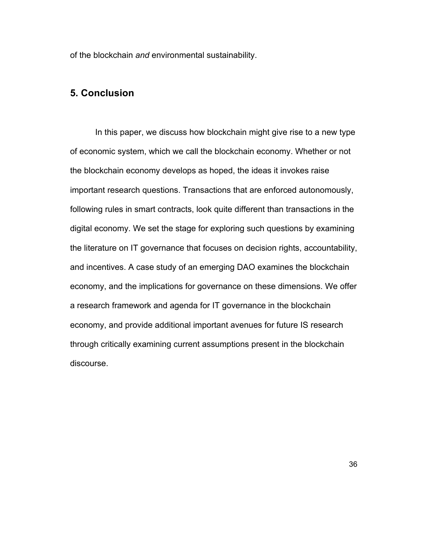of the blockchain *and* environmental sustainability.

# **5. Conclusion**

In this paper, we discuss how blockchain might give rise to a new type of economic system, which we call the blockchain economy. Whether or not the blockchain economy develops as hoped, the ideas it invokes raise important research questions. Transactions that are enforced autonomously, following rules in smart contracts, look quite different than transactions in the digital economy. We set the stage for exploring such questions by examining the literature on IT governance that focuses on decision rights, accountability, and incentives. A case study of an emerging DAO examines the blockchain economy, and the implications for governance on these dimensions. We offer a research framework and agenda for IT governance in the blockchain economy, and provide additional important avenues for future IS research through critically examining current assumptions present in the blockchain discourse.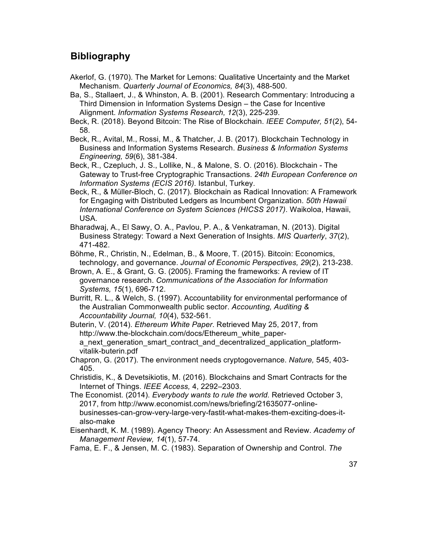# **Bibliography**

Akerlof, G. (1970). The Market for Lemons: Qualitative Uncertainty and the Market Mechanism. *Quarterly Journal of Economics, 84*(3), 488-500.

Ba, S., Stallaert, J., & Whinston, A. B. (2001). Research Commentary: Introducing a Third Dimension in Information Systems Design – the Case for Incentive Alignment. *Information Systems Research, 12*(3), 225-239.

Beck, R. (2018). Beyond Bitcoin: The Rise of Blockchain. *IEEE Computer, 51*(2), 54- 58.

Beck, R., Avital, M., Rossi, M., & Thatcher, J. B. (2017). Blockchain Technology in Business and Information Systems Research. *Business & Information Systems Engineering, 59*(6), 381-384.

Beck, R., Czepluch, J. S., Lollike, N., & Malone, S. O. (2016). Blockchain - The Gateway to Trust-free Cryptographic Transactions. *24th European Conference on Information Systems (ECIS 2016)*. Istanbul, Turkey.

Beck, R., & Müller-Bloch, C. (2017). Blockchain as Radical Innovation: A Framework for Engaging with Distributed Ledgers as Incumbent Organization. *50th Hawaii International Conference on System Sciences (HICSS 2017)*. Waikoloa, Hawaii, USA.

Bharadwaj, A., El Sawy, O. A., Pavlou, P. A., & Venkatraman, N. (2013). Digital Business Strategy: Toward a Next Generation of Insights. *MIS Quarterly*, *37*(2), 471-482.

Böhme, R., Christin, N., Edelman, B., & Moore, T. (2015). Bitcoin: Economics, technology, and governance. *Journal of Economic Perspectives, 29*(2), 213-238.

Brown, A. E., & Grant, G. G. (2005). Framing the frameworks: A review of IT governance research. *Communications of the Association for Information Systems, 15*(1), 696-712.

Burritt, R. L., & Welch, S. (1997). Accountability for environmental performance of the Australian Commonwealth public sector. *Accounting, Auditing & Accountability Journal, 10*(4), 532-561.

Buterin, V. (2014). *Ethereum White Paper*. Retrieved May 25, 2017, from http://www.the-blockchain.com/docs/Ethereum\_white\_papera\_next\_generation\_smart\_contract\_and\_decentralized\_application\_platformvitalik-buterin.pdf

Chapron, G. (2017). The environment needs cryptogovernance. *Nature,* 545, 403- 405.

Christidis, K., & Devetsikiotis, M. (2016). Blockchains and Smart Contracts for the Internet of Things. *IEEE Access,* 4, 2292–2303.

The Economist. (2014). *Everybody wants to rule the world.* Retrieved October 3, 2017, from http://www.economist.com/news/briefing/21635077-onlinebusinesses-can-grow-very-large-very-fastit-what-makes-them-exciting-does-italso-make

Eisenhardt, K. M. (1989). Agency Theory: An Assessment and Review. *Academy of Management Review, 14*(1), 57-74.

Fama, E. F., & Jensen, M. C. (1983). Separation of Ownership and Control. *The*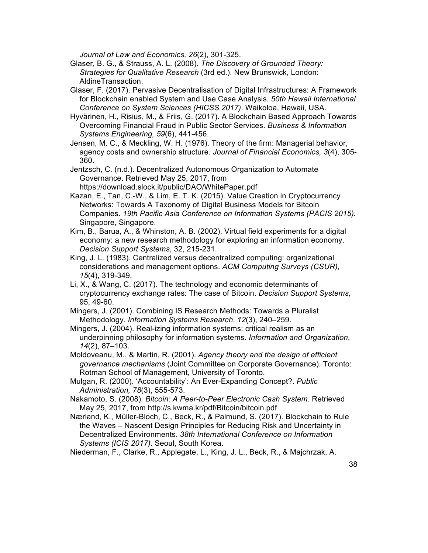*Journal of Law and Economics, 26*(2), 301-325.

- Glaser, B. G., & Strauss, A. L. (2008). *The Discovery of Grounded Theory: Strategies for Qualitative Research* (3rd ed.). New Brunswick, London: AldineTransaction.
- Glaser, F. (2017). Pervasive Decentralisation of Digital Infrastructures: A Framework for Blockchain enabled System and Use Case Analysis. *50th Hawaii International Conference on System Sciences (HICSS 2017)*. Waikoloa, Hawaii, USA.
- Hyvärinen, H., Risius, M., & Friis, G. (2017). A Blockchain Based Approach Towards Overcoming Financial Fraud in Public Sector Services. *Business & Information Systems Engineering, 59*(6), 441-456.
- Jensen, M. C., & Meckling, W. H. (1976). Theory of the firm: Managerial behavior, agency costs and ownership structure. *Journal of Financial Economics, 3*(4), 305- 360.

Jentzsch, C. (n.d.). Decentralized Autonomous Organization to Automate Governance. Retrieved May 25, 2017, from https://download.slock.it/public/DAO/WhitePaper.pdf

Kazan, E., Tan, C.-W., & Lim, E. T. K. (2015). Value Creation in Cryptocurrency Networks: Towards A Taxonomy of Digital Business Models for Bitcoin Companies. *19th Pacific Asia Conference on Information Systems (PACIS 2015).* Singapore, Singapore.

Kim, B., Barua, A., & Whinston, A. B. (2002). Virtual field experiments for a digital economy: a new research methodology for exploring an information economy. *Decision Support Systems*, 32, 215-231.

- King, J. L. (1983). Centralized versus decentralized computing: organizational considerations and management options. *ACM Computing Surveys (CSUR), 15*(4), 319-349.
- Li, X., & Wang, C. (2017). The technology and economic determinants of cryptocurrency exchange rates: The case of Bitcoin. *Decision Support Systems,* 95, 49-60.
- Mingers, J. (2001). Combining IS Research Methods: Towards a Pluralist Methodology. *Information Systems Research*, *12*(3), 240–259.
- Mingers, J. (2004). Real-izing information systems: critical realism as an underpinning philosophy for information systems. *Information and Organization*, *14*(2), 87–103.
- Moldoveanu, M., & Martin, R. (2001). *Agency theory and the design of efficient governance mechanisms* (Joint Committee on Corporate Governance). Toronto: Rotman School of Management, University of Toronto.
- Mulgan, R. (2000). 'Accountability': An Ever-Expanding Concept?. *Public Administration, 78*(3), 555-573.

Nakamoto, S. (2008). *Bitcoin: A Peer-to-Peer Electronic Cash System*. Retrieved May 25, 2017, from http://s.kwma.kr/pdf/Bitcoin/bitcoin.pdf

Nærland, K., Müller-Bloch, C., Beck, R., & Palmund, S. (2017). Blockchain to Rule the Waves – Nascent Design Principles for Reducing Risk and Uncertainty in Decentralized Environments. *38th International Conference on Information Systems (ICIS 2017).* Seoul, South Korea.

Niederman, F., Clarke, R., Applegate, L., King, J. L., Beck, R., & Majchrzak, A.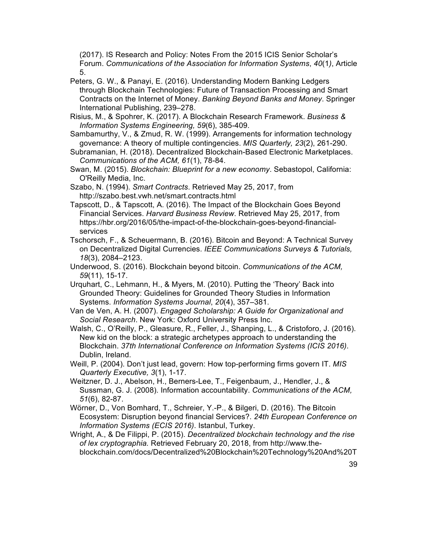(2017). IS Research and Policy: Notes From the 2015 ICIS Senior Scholar's Forum. *Communications of the Association for Information Systems*, *40*(1*)*, Article 5.

- Peters, G. W., & Panayi, E. (2016). Understanding Modern Banking Ledgers through Blockchain Technologies: Future of Transaction Processing and Smart Contracts on the Internet of Money. *Banking Beyond Banks and Money*. Springer International Publishing, 239–278.
- Risius, M., & Spohrer, K. (2017). A Blockchain Research Framework. *Business & Information Systems Engineering, 59*(6), 385-409.
- Sambamurthy, V., & Zmud, R. W. (1999). Arrangements for information technology governance: A theory of multiple contingencies. *MIS Quarterly, 23*(2), 261-290.
- Subramanian, H. (2018). Decentralized Blockchain-Based Electronic Marketplaces. *Communications of the ACM, 61*(1), 78-84.
- Swan, M. (2015). *Blockchain: Blueprint for a new economy*. Sebastopol, California: O'Reilly Media, Inc.
- Szabo, N. (1994). *Smart Contracts*. Retrieved May 25, 2017, from http://szabo.best.vwh.net/smart.contracts.html
- Tapscott, D., & Tapscott, A. (2016). The Impact of the Blockchain Goes Beyond Financial Services. *Harvard Business Review*. Retrieved May 25, 2017, from https://hbr.org/2016/05/the-impact-of-the-blockchain-goes-beyond-financialservices
- Tschorsch, F., & Scheuermann, B. (2016). Bitcoin and Beyond: A Technical Survey on Decentralized Digital Currencies. *IEEE Communications Surveys & Tutorials, 18*(3), 2084–2123.
- Underwood, S. (2016). Blockchain beyond bitcoin. *Communications of the ACM, 59*(11), 15-17.
- Urquhart, C., Lehmann, H., & Myers, M. (2010). Putting the 'Theory' Back into Grounded Theory: Guidelines for Grounded Theory Studies in Information Systems. *Information Systems Journal*, *20*(4), 357–381.
- Van de Ven, A. H. (2007). *Engaged Scholarship: A Guide for Organizational and Social Research*. New York: Oxford University Press Inc.
- Walsh, C., O'Reilly, P., Gleasure, R., Feller, J., Shanping, L., & Cristoforo, J. (2016). New kid on the block: a strategic archetypes approach to understanding the Blockchain. *37th International Conference on Information Systems (ICIS 2016)*. Dublin, Ireland.
- Weill, P. (2004). Don't just lead, govern: How top-performing firms govern IT. *MIS Quarterly Executive, 3*(1), 1-17.
- Weitzner, D. J., Abelson, H., Berners-Lee, T., Feigenbaum, J., Hendler, J., & Sussman, G. J. (2008). Information accountability. *Communications of the ACM, 51*(6), 82-87.
- Wörner, D., Von Bomhard, T., Schreier, Y.-P., & Bilgeri, D. (2016). The Bitcoin Ecosystem: Disruption beyond financial Services?. *24th European Conference on Information Systems (ECIS 2016)*. Istanbul, Turkey.
- Wright, A., & De Filippi, P. (2015). *Decentralized blockchain technology and the rise of lex cryptographia.* Retrieved February 20, 2018, from http://www.theblockchain.com/docs/Decentralized%20Blockchain%20Technology%20And%20T